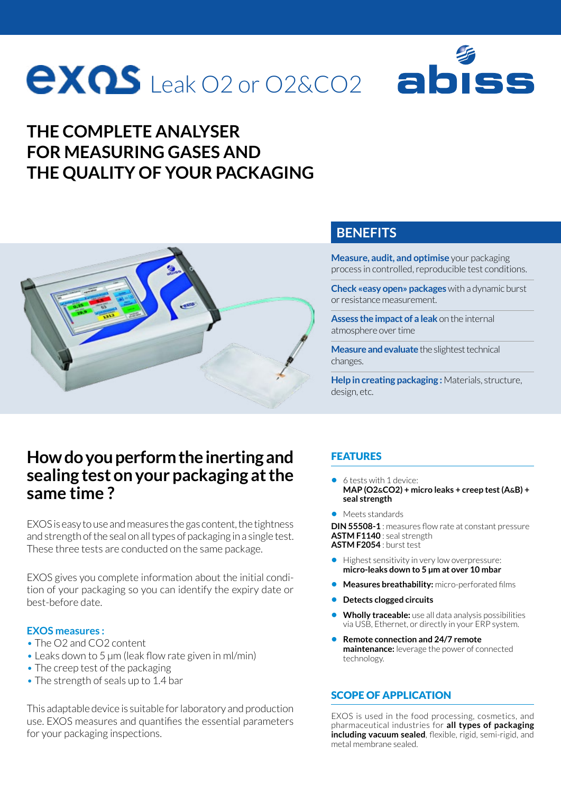# **EXQS** Leak O2 or O2&CO2

#### **THE COMPLETE ANALYSER FOR MEASURING GASES AND THE QUALITY OF YOUR PACKAGING**



#### **BENEFITS**

**Measure, audit, and optimise** your packaging process in controlled, reproducible test conditions.

**Check «easy open» packages** with a dynamic burst or resistance measurement.

**Assess the impact of a leak** on the internal atmosphere over time

**Measure and evaluate** the slightest technical changes.

**Help in creating packaging :** Materials, structure, design, etc.

#### **How do you perform the inerting and sealing test on your packaging at the same time ?**

EXOS is easy to use and measures the gas content, the tightness and strength of the seal on all types of packaging in a single test. These three tests are conducted on the same package.

EXOS gives you complete information about the initial condition of your packaging so you can identify the expiry date or best-before date.

#### **EXOS measures :**

- The O2 and CO2 content
- Leaks down to 5 µm (leak flow rate given in ml/min)
- The creep test of the packaging
- The strength of seals up to 1.4 bar

This adaptable device is suitable for laboratory and production use. EXOS measures and quantifies the essential parameters for your packaging inspections.

#### FEATURES

- **•** 6 tests with 1 device: **MAP (O2&CO2) + micro leaks + creep test (A&B) + seal strength**
- **•** Meets standards

**DIN 55508-1** : measures flow rate at constant pressure **ASTM F1140** : seal strength **ASTM F2054** : burst test

- **•** Highest sensitivity in very low overpressure: **micro-leaks down to 5 μm at over 10 mbar**
- **• Measures breathability:** micro-perforated films
- **• Detects clogged circuits**
- **• Wholly traceable:** use all data analysis possibilities via USB, Ethernet, or directly in your ERP system.
- **• Remote connection and 24/7 remote maintenance:** leverage the power of connected technology.

#### SCOPE OF APPLICATION

EXOS is used in the food processing, cosmetics, and pharmaceutical industries for **all types of packaging including vacuum sealed**, flexible, rigid, semi-rigid, and metal membrane sealed.